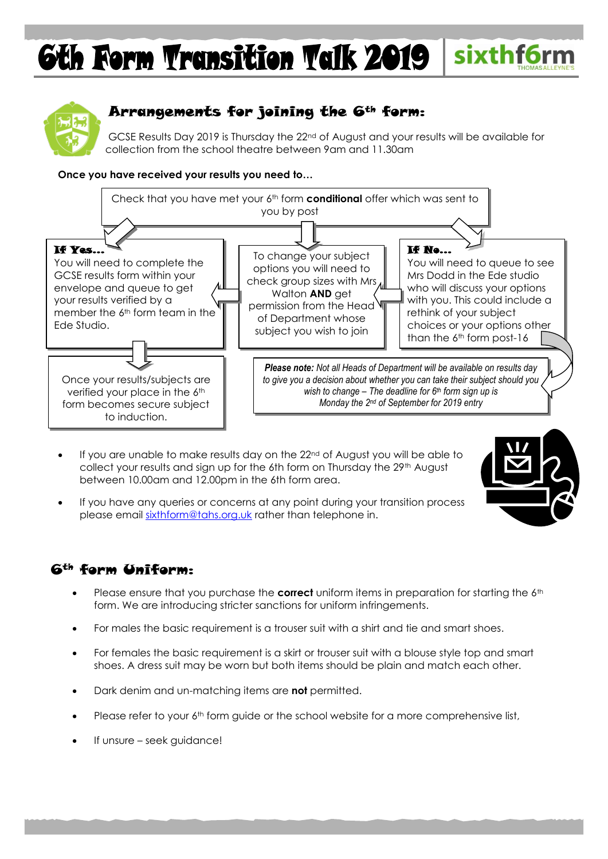# sixthf6rm **6th Form Transition Talk 2019**



# Arrangements for joining the 6th form:

GCSE Results Day 2019 is Thursday the 22nd of August and your results will be available for collection from the school theatre between 9am and 11.30am

#### **Once you have received your results you need to…**



- If you are unable to make results day on the 22nd of August you will be able to collect your results and sign up for the 6th form on Thursday the 29<sup>th</sup> August between 10.00am and 12.00pm in the 6th form area.
- If you have any queries or concerns at any point during your transition process please email [sixthform@tahs.org.uk](mailto:sixthform@tahs.org.uk) rather than telephone in.

#### 6th form Uniform:

- Please ensure that you purchase the **correct** uniform items in preparation for starting the 6<sup>th</sup> form. We are introducing stricter sanctions for uniform infringements.
- For males the basic requirement is a trouser suit with a shirt and tie and smart shoes.
- For females the basic requirement is a skirt or trouser suit with a blouse style top and smart shoes. A dress suit may be worn but both items should be plain and match each other.
- Dark denim and un-matching items are **not** permitted.
- Please refer to your 6<sup>th</sup> form quide or the school website for a more comprehensive list,
- If unsure seek guidance!